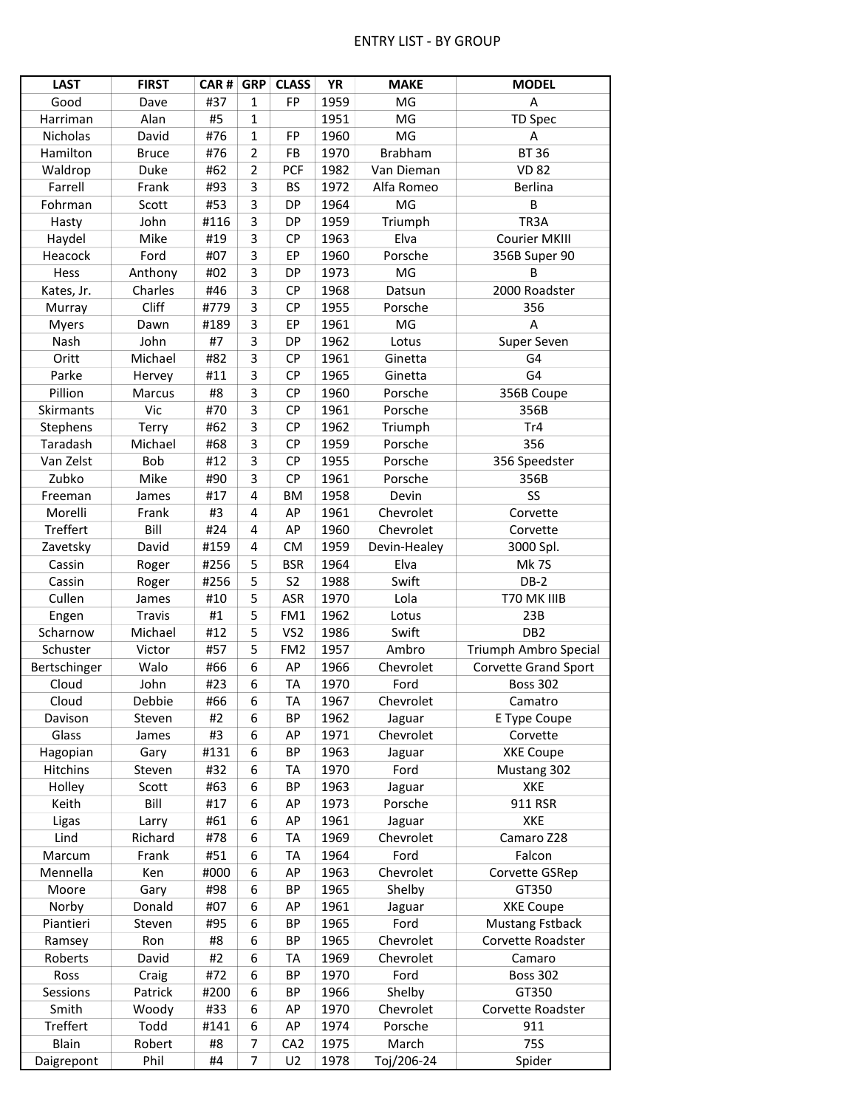## ENTRY LIST - BY GROUP

| <b>LAST</b>       | <b>FIRST</b> | CAR# | <b>GRP</b>     | <b>CLASS</b>    | YR   | <b>MAKE</b>    | <b>MODEL</b>                |
|-------------------|--------------|------|----------------|-----------------|------|----------------|-----------------------------|
| Good              | Dave         | #37  | $\mathbf{1}$   | FP              | 1959 | MG             | A                           |
| Harriman          | Alan         | #5   | $\mathbf 1$    |                 | 1951 | MG             | <b>TD Spec</b>              |
| Nicholas          | David        | #76  | $\mathbf 1$    | FP              | 1960 | MG             | A                           |
| Hamilton          | <b>Bruce</b> | #76  | $\overline{2}$ | FB              | 1970 | <b>Brabham</b> | <b>BT 36</b>                |
| Waldrop           | Duke         | #62  | $\overline{2}$ | <b>PCF</b>      | 1982 | Van Dieman     | <b>VD 82</b>                |
| Farrell           | Frank        | #93  | 3              | <b>BS</b>       | 1972 | Alfa Romeo     | Berlina                     |
|                   |              | #53  | 3              | <b>DP</b>       | 1964 | MG             | B                           |
| Fohrman           | Scott        |      |                |                 |      |                |                             |
| Hasty             | John         | #116 | 3              | <b>DP</b>       | 1959 | Triumph        | TR3A                        |
| Haydel            | Mike         | #19  | 3              | CP              | 1963 | Elva           | <b>Courier MKIII</b>        |
| Heacock           | Ford         | #07  | 3              | EP              | 1960 | Porsche        | 356B Super 90               |
| Hess              | Anthony      | #02  | 3              | <b>DP</b>       | 1973 | MG             | B                           |
| Kates, Jr.        | Charles      | #46  | 3              | CP              | 1968 | Datsun         | 2000 Roadster               |
| Murray            | Cliff        | #779 | 3              | CP              | 1955 | Porsche        | 356                         |
| <b>Myers</b>      | Dawn         | #189 | 3              | EP              | 1961 | MG             | A                           |
| Nash              | John         | #7   | 3              | <b>DP</b>       | 1962 | Lotus          | Super Seven                 |
| Oritt             | Michael      | #82  | 3              | <b>CP</b>       | 1961 | Ginetta        | G4                          |
| Parke             | Hervey       | #11  | 3              | CP              | 1965 | Ginetta        | G4                          |
| Pillion           | Marcus       | #8   | 3              | <b>CP</b>       | 1960 | Porsche        | 356B Coupe                  |
| Skirmants         | Vic          | #70  | 3              | <b>CP</b>       | 1961 | Porsche        | 356B                        |
| Stephens          | Terry        | #62  | 3              | CP              | 1962 | Triumph        | Tr4                         |
| Taradash          | Michael      | #68  | 3              | CP              | 1959 | Porsche        | 356                         |
| Van Zelst         | Bob          | #12  | 3              | CP              | 1955 | Porsche        | 356 Speedster               |
| Zubko             | Mike         | #90  | 3              | CP              | 1961 | Porsche        | 356B                        |
| Freeman           | James        | #17  | 4              | BM              | 1958 | Devin          | SS                          |
| Morelli           | Frank        | #3   | 4              | AP              | 1961 | Chevrolet      | Corvette                    |
| Treffert          | Bill         | #24  | 4              | AP              | 1960 | Chevrolet      | Corvette                    |
| Zavetsky          | David        | #159 | 4              | <b>CM</b>       | 1959 | Devin-Healey   | 3000 Spl.                   |
| Cassin            | Roger        | #256 | 5              | <b>BSR</b>      | 1964 | Elva           | Mk 7S                       |
| Cassin            | Roger        | #256 | 5              | S <sub>2</sub>  | 1988 | Swift          | $DB-2$                      |
| Cullen            | James        | #10  | 5              | <b>ASR</b>      | 1970 | Lola           | T70 MK IIIB                 |
|                   | Travis       | #1   | 5              | FM1             | 1962 | Lotus          | 23B                         |
| Engen<br>Scharnow | Michael      | #12  | 5              | VS <sub>2</sub> | 1986 | Swift          | DB <sub>2</sub>             |
| Schuster          | Victor       | #57  | 5              | FM <sub>2</sub> | 1957 | Ambro          | Triumph Ambro Special       |
|                   |              |      |                |                 |      |                |                             |
| Bertschinger      | Walo         | #66  | 6              | AP              | 1966 | Chevrolet      | <b>Corvette Grand Sport</b> |
| Cloud             | John         | #23  | 6              | <b>TA</b>       | 1970 | Ford           | <b>Boss 302</b>             |
| Cloud             | Debbie       | #66  | $\sqrt{6}$     | <b>TA</b>       | 1967 | Chevrolet      | Camatro                     |
| Davison           | Steven       | #2   | 6              | <b>BP</b>       | 1962 | Jaguar         | E Type Coupe                |
| Glass             | James        | #3   | 6              | AP              | 1971 | Chevrolet      | Corvette                    |
| Hagopian          | Gary         | #131 | 6              | <b>BP</b>       | 1963 | Jaguar         | <b>XKE Coupe</b>            |
| <b>Hitchins</b>   | Steven       | #32  | 6              | <b>TA</b>       | 1970 | Ford           | Mustang 302                 |
| Holley            | Scott        | #63  | 6              | BP              | 1963 | Jaguar         | XKE                         |
| Keith             | Bill         | #17  | 6              | AP              | 1973 | Porsche        | 911 RSR                     |
| Ligas             | Larry        | #61  | 6              | AP              | 1961 | Jaguar         | XKE                         |
| Lind              | Richard      | #78  | 6              | <b>TA</b>       | 1969 | Chevrolet      | Camaro Z28                  |
| Marcum            | Frank        | #51  | 6              | <b>TA</b>       | 1964 | Ford           | Falcon                      |
| Mennella          | Ken          | #000 | 6              | AP              | 1963 | Chevrolet      | Corvette GSRep              |
| Moore             | Gary         | #98  | 6              | <b>BP</b>       | 1965 | Shelby         | GT350                       |
| Norby             | Donald       | #07  | 6              | AP              | 1961 | Jaguar         | <b>XKE Coupe</b>            |
| Piantieri         | Steven       | #95  | 6              | <b>BP</b>       | 1965 | Ford           | <b>Mustang Fstback</b>      |
| Ramsey            | Ron          | #8   | 6              | <b>BP</b>       | 1965 | Chevrolet      | Corvette Roadster           |
| Roberts           | David        | #2   | 6              | <b>TA</b>       | 1969 | Chevrolet      | Camaro                      |
| Ross              | Craig        | #72  | 6              | <b>BP</b>       | 1970 | Ford           | <b>Boss 302</b>             |
| Sessions          | Patrick      | #200 | 6              | BP              | 1966 | Shelby         | GT350                       |
| Smith             | Woody        | #33  | 6              | AP              | 1970 | Chevrolet      | Corvette Roadster           |
| Treffert          | Todd         | #141 | 6              | AP              | 1974 | Porsche        | 911                         |
| Blain             | Robert       | #8   | 7              | CA <sub>2</sub> | 1975 | March          | 75S                         |
| Daigrepont        | Phil         | #4   | 7              | U <sub>2</sub>  | 1978 | Toj/206-24     | Spider                      |
|                   |              |      |                |                 |      |                |                             |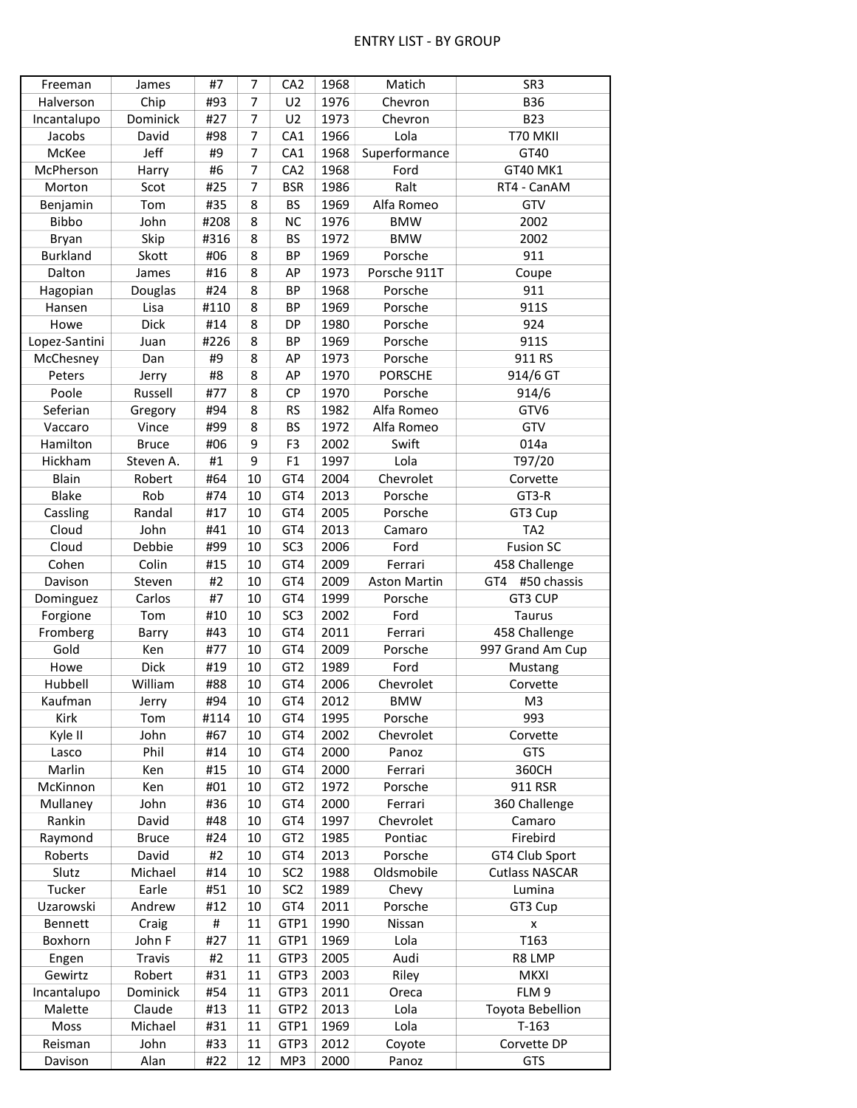| Freeman          | James        | #7   | 7        | CA <sub>2</sub> | 1968 | Matich              | SR <sub>3</sub>       |
|------------------|--------------|------|----------|-----------------|------|---------------------|-----------------------|
| Halverson        | Chip         | #93  | 7        | U <sub>2</sub>  | 1976 | Chevron             | <b>B36</b>            |
| Incantalupo      | Dominick     | #27  | 7        | U <sub>2</sub>  | 1973 | Chevron             | <b>B23</b>            |
| Jacobs           | David        | #98  | 7        | CA1             | 1966 | Lola                | T70 MKII              |
| McKee            | Jeff         | #9   | 7        | CA1             | 1968 | Superformance       | GT40                  |
| McPherson        | Harry        | #6   | 7        | CA <sub>2</sub> | 1968 | Ford                | GT40 MK1              |
| Morton           | Scot         | #25  | 7        | <b>BSR</b>      | 1986 | Ralt                | RT4 - CanAM           |
| Benjamin         | Tom          | #35  | 8        | <b>BS</b>       | 1969 | Alfa Romeo          | GTV                   |
| Bibbo            | John         | #208 | 8        | <b>NC</b>       | 1976 | <b>BMW</b>          | 2002                  |
| Bryan            | Skip         | #316 | 8        | <b>BS</b>       | 1972 | <b>BMW</b>          | 2002                  |
| <b>Burkland</b>  | Skott        | #06  | 8        | <b>BP</b>       | 1969 | Porsche             | 911                   |
| Dalton           | James        | #16  | 8        | AP              | 1973 | Porsche 911T        | Coupe                 |
| Hagopian         | Douglas      | #24  | 8        | <b>BP</b>       | 1968 | Porsche             | 911                   |
| Hansen           | Lisa         | #110 | 8        | <b>BP</b>       | 1969 | Porsche             | 911S                  |
| Howe             | Dick         | #14  | 8        | <b>DP</b>       | 1980 | Porsche             | 924                   |
| Lopez-Santini    | Juan         | #226 | 8        | <b>BP</b>       | 1969 | Porsche             | 911S                  |
| McChesney        | Dan          | #9   | 8        | AP              | 1973 | Porsche             | 911 RS                |
| Peters           | Jerry        | #8   | 8        | AP              | 1970 | <b>PORSCHE</b>      | 914/6 GT              |
| Poole            | Russell      | #77  | 8        | CP              | 1970 | Porsche             | 914/6                 |
| Seferian         | Gregory      | #94  | 8        | <b>RS</b>       | 1982 | Alfa Romeo          | GTV6                  |
| Vaccaro          | Vince        | #99  | 8        | <b>BS</b>       | 1972 | Alfa Romeo          | GTV                   |
| Hamilton         | <b>Bruce</b> | #06  | 9        | F <sub>3</sub>  | 2002 | Swift               | 014a                  |
| Hickham          | Steven A.    | #1   | 9        | F1              | 1997 | Lola                | T97/20                |
| Blain            | Robert       | #64  | 10       | GT4             | 2004 | Chevrolet           | Corvette              |
| <b>Blake</b>     | Rob          | #74  | 10       | GT4             | 2013 | Porsche             | GT3-R                 |
| Cassling         | Randal       | #17  | 10       | GT4             | 2005 | Porsche             | GT3 Cup               |
| Cloud            | John         | #41  | 10       | GT4             | 2013 | Camaro              | TA <sub>2</sub>       |
| Cloud            | Debbie       | #99  | 10       | SC <sub>3</sub> | 2006 | Ford                | <b>Fusion SC</b>      |
| Cohen            | Colin        | #15  | 10       | GT4             | 2009 | Ferrari             | 458 Challenge         |
| Davison          | Steven       | #2   | 10       | GT4             | 2009 | <b>Aston Martin</b> | #50 chassis<br>GT4    |
| Dominguez        | Carlos       | #7   | 10       | GT4             | 1999 | Porsche             | GT3 CUP               |
| Forgione         | Tom          | #10  | 10       | SC <sub>3</sub> | 2002 | Ford                | <b>Taurus</b>         |
|                  | Barry        | #43  | 10       | GT4             | 2011 | Ferrari             | 458 Challenge         |
| Fromberg<br>Gold | Ken          | #77  | 10       | GT4             | 2009 | Porsche             | 997 Grand Am Cup      |
|                  | Dick         | #19  |          | GT <sub>2</sub> | 1989 |                     | Mustang               |
| Howe<br>Hubbell  | William      | #88  | 10<br>10 | GT4             | 2006 | Ford                |                       |
|                  |              |      |          |                 |      | Chevrolet           | Corvette              |
| Kaufman          | Jerry        | #94  | $10\,$   | GT4             | 2012 | <b>BMW</b>          | M <sub>3</sub>        |
| Kirk             | Tom          | #114 | 10       | GT4             | 1995 | Porsche             | 993                   |
| Kyle II          | John         | #67  | 10       | GT4             | 2002 | Chevrolet           | Corvette              |
| Lasco            | Phil         | #14  | 10       | GT4             | 2000 | Panoz               | GTS                   |
| Marlin           | Ken          | #15  | 10       | GT4             | 2000 | Ferrari             | 360CH                 |
| McKinnon         | Ken          | #01  | 10       | GT <sub>2</sub> | 1972 | Porsche             | 911 RSR               |
| Mullaney         | John         | #36  | 10       | GT4             | 2000 | Ferrari             | 360 Challenge         |
| Rankin           | David        | #48  | 10       | GT4             | 1997 | Chevrolet           | Camaro                |
| Raymond          | <b>Bruce</b> | #24  | 10       | GT <sub>2</sub> | 1985 | Pontiac             | Firebird              |
| Roberts          | David        | #2   | 10       | GT4             | 2013 | Porsche             | GT4 Club Sport        |
| Slutz            | Michael      | #14  | 10       | SC <sub>2</sub> | 1988 | Oldsmobile          | <b>Cutlass NASCAR</b> |
| Tucker           | Earle        | #51  | 10       | SC <sub>2</sub> | 1989 | Chevy               | Lumina                |
| Uzarowski        | Andrew       | #12  | 10       | GT4             | 2011 | Porsche             | GT3 Cup               |
| Bennett          | Craig        | #    | 11       | GTP1            | 1990 | Nissan              | X                     |
| Boxhorn          | John F       | #27  | 11       | GTP1            | 1969 | Lola                | T163                  |
| Engen            | Travis       | #2   | 11       | GTP3            | 2005 | Audi                | R8 LMP                |
| Gewirtz          | Robert       | #31  | 11       | GTP3            | 2003 | Riley               | <b>MKXI</b>           |
| Incantalupo      | Dominick     | #54  | 11       | GTP3            | 2011 | Oreca               | FLM 9                 |
| Malette          | Claude       | #13  | 11       | GTP2            | 2013 | Lola                | Toyota Bebellion      |
| Moss             | Michael      | #31  | 11       | GTP1            | 1969 | Lola                | $T-163$               |
| Reisman          | John         | #33  | 11       | GTP3            | 2012 | Coyote              | Corvette DP           |
| Davison          | Alan         | #22  | 12       | MP3             | 2000 | Panoz               | GTS                   |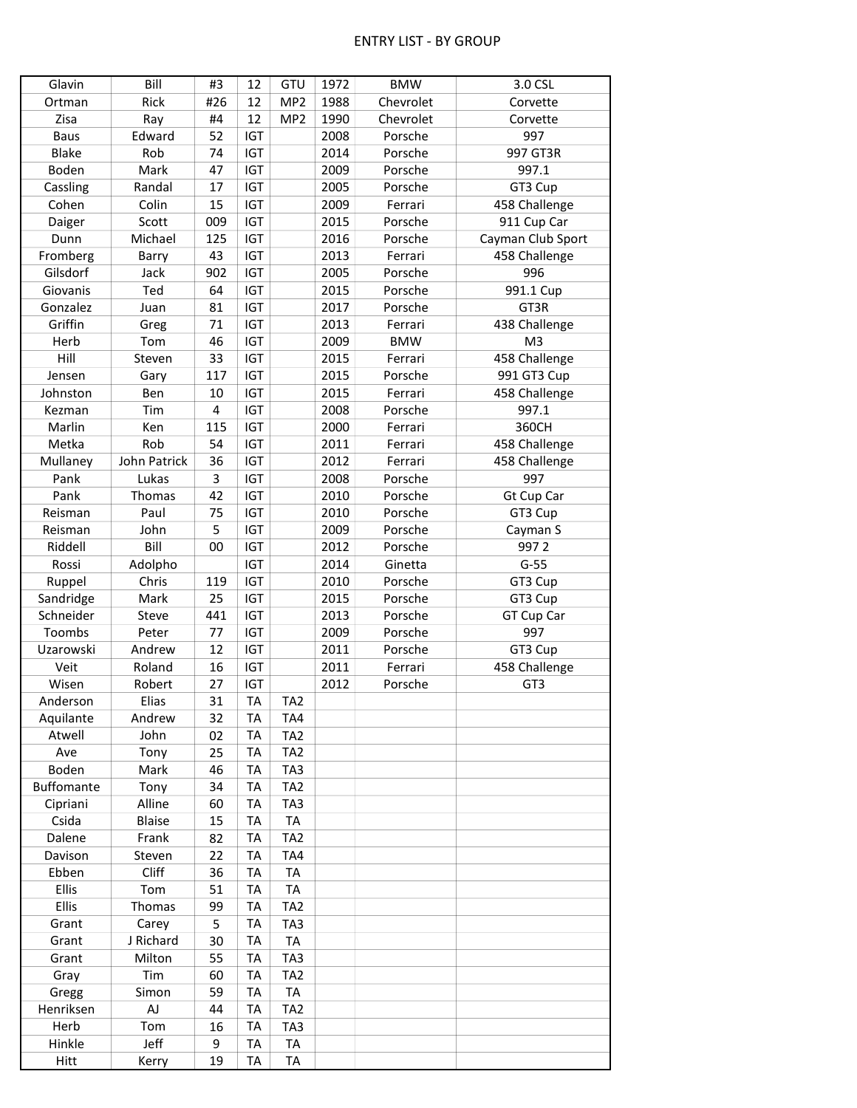| Glavin      | Bill          | #3  | 12         | GTU             | 1972 | <b>BMW</b> | 3.0 CSL           |
|-------------|---------------|-----|------------|-----------------|------|------------|-------------------|
| Ortman      | Rick          | #26 | 12         | MP <sub>2</sub> | 1988 | Chevrolet  | Corvette          |
| Zisa        | Ray           | #4  | 12         | MP <sub>2</sub> | 1990 | Chevrolet  | Corvette          |
| <b>Baus</b> | Edward        | 52  | <b>IGT</b> |                 | 2008 | Porsche    | 997               |
| Blake       | Rob           | 74  | IGT        |                 | 2014 | Porsche    | 997 GT3R          |
| Boden       | Mark          | 47  | <b>IGT</b> |                 | 2009 | Porsche    | 997.1             |
| Cassling    | Randal        | 17  | <b>IGT</b> |                 | 2005 | Porsche    | GT3 Cup           |
| Cohen       | Colin         | 15  | <b>IGT</b> |                 | 2009 | Ferrari    | 458 Challenge     |
| Daiger      | Scott         | 009 | IGT        |                 | 2015 | Porsche    | 911 Cup Car       |
| Dunn        | Michael       | 125 | <b>IGT</b> |                 | 2016 | Porsche    | Cayman Club Sport |
| Fromberg    | Barry         | 43  | <b>IGT</b> |                 | 2013 | Ferrari    | 458 Challenge     |
| Gilsdorf    | Jack          | 902 | <b>IGT</b> |                 | 2005 | Porsche    | 996               |
| Giovanis    | Ted           | 64  | <b>IGT</b> |                 | 2015 | Porsche    | 991.1 Cup         |
| Gonzalez    | Juan          | 81  | <b>IGT</b> |                 | 2017 | Porsche    | GT3R              |
| Griffin     |               | 71  | <b>IGT</b> |                 | 2013 |            |                   |
|             | Greg          |     |            |                 |      | Ferrari    | 438 Challenge     |
| Herb        | Tom           | 46  | <b>IGT</b> |                 | 2009 | <b>BMW</b> | M <sub>3</sub>    |
| Hill        | Steven        | 33  | <b>IGT</b> |                 | 2015 | Ferrari    | 458 Challenge     |
| Jensen      | Gary          | 117 | <b>IGT</b> |                 | 2015 | Porsche    | 991 GT3 Cup       |
| Johnston    | Ben           | 10  | <b>IGT</b> |                 | 2015 | Ferrari    | 458 Challenge     |
| Kezman      | Tim           | 4   | <b>IGT</b> |                 | 2008 | Porsche    | 997.1             |
| Marlin      | Ken           | 115 | <b>IGT</b> |                 | 2000 | Ferrari    | 360CH             |
| Metka       | Rob           | 54  | <b>IGT</b> |                 | 2011 | Ferrari    | 458 Challenge     |
| Mullaney    | John Patrick  | 36  | <b>IGT</b> |                 | 2012 | Ferrari    | 458 Challenge     |
| Pank        | Lukas         | 3   | <b>IGT</b> |                 | 2008 | Porsche    | 997               |
| Pank        | Thomas        | 42  | <b>IGT</b> |                 | 2010 | Porsche    | Gt Cup Car        |
| Reisman     | Paul          | 75  | <b>IGT</b> |                 | 2010 | Porsche    | GT3 Cup           |
| Reisman     | John          | 5   | IGT        |                 | 2009 | Porsche    | Cayman S          |
| Riddell     | Bill          | 00  | IGT        |                 | 2012 | Porsche    | 9972              |
| Rossi       | Adolpho       |     | <b>IGT</b> |                 | 2014 | Ginetta    | $G-55$            |
| Ruppel      | Chris         | 119 | <b>IGT</b> |                 | 2010 | Porsche    | GT3 Cup           |
| Sandridge   | Mark          | 25  | <b>IGT</b> |                 | 2015 | Porsche    | GT3 Cup           |
| Schneider   | Steve         | 441 | IGT        |                 | 2013 | Porsche    | GT Cup Car        |
| Toombs      | Peter         | 77  | <b>IGT</b> |                 | 2009 | Porsche    | 997               |
| Uzarowski   | Andrew        | 12  | IGT        |                 | 2011 | Porsche    | GT3 Cup           |
| Veit        | Roland        | 16  | <b>IGT</b> |                 | 2011 | Ferrari    | 458 Challenge     |
| Wisen       | Robert        | 27  | <b>IGT</b> |                 | 2012 | Porsche    | GT3               |
| Anderson    | Elias         | 31  | <b>TA</b>  | TA <sub>2</sub> |      |            |                   |
| Aquilante   | Andrew        | 32  | <b>TA</b>  | TA4             |      |            |                   |
| Atwell      | John          | 02  | <b>TA</b>  | TA <sub>2</sub> |      |            |                   |
| Ave         | Tony          | 25  | <b>TA</b>  | TA <sub>2</sub> |      |            |                   |
| Boden       | Mark          | 46  | <b>TA</b>  | TA3             |      |            |                   |
| Buffomante  | Tony          | 34  | <b>TA</b>  | TA <sub>2</sub> |      |            |                   |
|             | Alline        |     |            |                 |      |            |                   |
| Cipriani    |               | 60  | <b>TA</b>  | TA3             |      |            |                   |
| Csida       | <b>Blaise</b> | 15  | <b>TA</b>  | TA              |      |            |                   |
| Dalene      | Frank         | 82  | <b>TA</b>  | TA <sub>2</sub> |      |            |                   |
| Davison     | Steven        | 22  | <b>TA</b>  | TA4             |      |            |                   |
| Ebben       | Cliff         | 36  | <b>TA</b>  | <b>TA</b>       |      |            |                   |
| Ellis       | Tom           | 51  | <b>TA</b>  | TA              |      |            |                   |
| Ellis       | Thomas        | 99  | <b>TA</b>  | TA <sub>2</sub> |      |            |                   |
| Grant       | Carey         | 5   | <b>TA</b>  | TA3             |      |            |                   |
| Grant       | J Richard     | 30  | <b>TA</b>  | TA              |      |            |                   |
| Grant       | Milton        | 55  | <b>TA</b>  | TA3             |      |            |                   |
| Gray        | Tim           | 60  | <b>TA</b>  | TA <sub>2</sub> |      |            |                   |
| Gregg       | Simon         | 59  | <b>TA</b>  | <b>TA</b>       |      |            |                   |
| Henriksen   | AJ            | 44  | TA         | TA <sub>2</sub> |      |            |                   |
| Herb        | Tom           | 16  | <b>TA</b>  | TA3             |      |            |                   |
| Hinkle      | Jeff          | 9   | <b>TA</b>  | TA              |      |            |                   |
| Hitt        | Kerry         | 19  | <b>TA</b>  | TA              |      |            |                   |